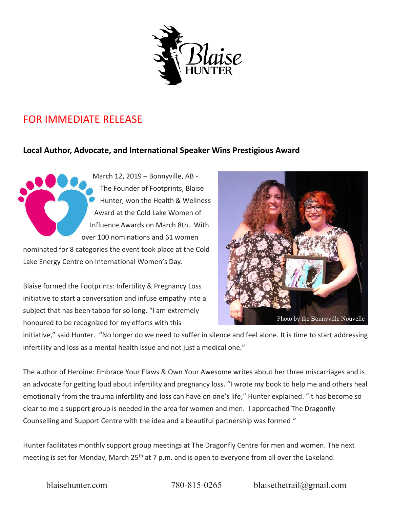

## FOR IMMEDIATE RELEASE

## **Local Author, Advocate, and International Speaker Wins Prestigious Award**

March 12, 2019 – Bonnyville, AB - The Founder of Footprints, Blaise Hunter, won the Health & Wellness Award at the Cold Lake Women of Influence Awards on March 8th. With over 100 nominations and 61 women

nominated for 8 categories the event took place at the Cold Lake Energy Centre on International Women's Day.

Blaise formed the Footprints: Infertility & Pregnancy Loss initiative to start a conversation and infuse empathy into a subject that has been taboo for so long. "I am extremely honoured to be recognized for my efforts with this



initiative," said Hunter. "No longer do we need to suffer in silence and feel alone. It is time to start addressing infertility and loss as a mental health issue and not just a medical one."

The author of Heroine: Embrace Your Flaws & Own Your Awesome writes about her three miscarriages and is an advocate for getting loud about infertility and pregnancy loss. "I wrote my book to help me and others heal emotionally from the trauma infertility and loss can have on one's life," Hunter explained. "It has become so clear to me a support group is needed in the area for women and men. I approached The Dragonfly Counselling and Support Centre with the idea and a beautiful partnership was formed."

Hunter facilitates monthly support group meetings at The Dragonfly Centre for men and women. The next meeting is set for Monday, March 25<sup>th</sup> at 7 p.m. and is open to everyone from all over the Lakeland.

## blaisehunter.com 780-815-0265 blaisethetrail@gmail.com